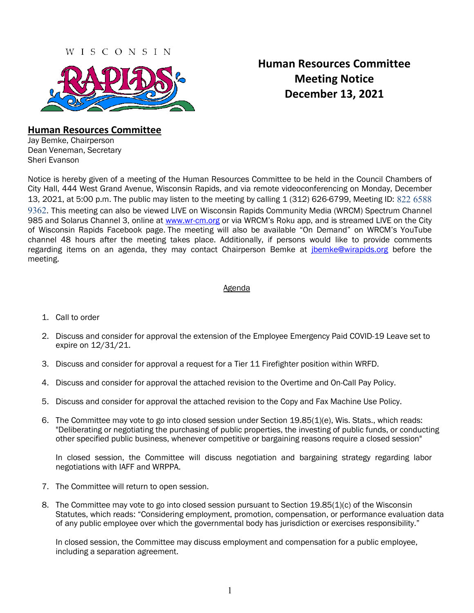# WISCONSIN

# **Human Resources Committee Meeting Notice December 13, 2021**

# **Human Resources Committee**

Jay Bemke, Chairperson Dean Veneman, Secretary Sheri Evanson

Notice is hereby given of a meeting of the Human Resources Committee to be held in the Council Chambers of City Hall, 444 West Grand Avenue, Wisconsin Rapids, and via remote videoconferencing on Monday, December 13, 2021, at 5:00 p.m. The public may listen to the meeting by calling 1 (312) 626-6799, Meeting ID: 822 6588 9362. This meeting can also be viewed LIVE on Wisconsin Rapids Community Media (WRCM) Spectrum Channel 985 and Solarus Channel 3, online at [www.wr-cm.org](http://www.wr-cm.org/) or via WRCM's Roku app, and is streamed LIVE on the City of Wisconsin Rapids Facebook page. The meeting will also be available "On Demand" on WRCM's YouTube channel 48 hours after the meeting takes place. Additionally, if persons would like to provide comments regarding items on an agenda, they may contact Chairperson Bemke at *ibemke@wirapids.org* before the meeting.

# Agenda

- 1. Call to order
- 2. Discuss and consider for approval the extension of the Employee Emergency Paid COVID-19 Leave set to expire on 12/31/21.
- 3. Discuss and consider for approval a request for a Tier 11 Firefighter position within WRFD.
- 4. Discuss and consider for approval the attached revision to the Overtime and On-Call Pay Policy.
- 5. Discuss and consider for approval the attached revision to the Copy and Fax Machine Use Policy.
- 6. The Committee may vote to go into closed session under Section 19.85(1)(e), Wis. Stats., which reads: "Deliberating or negotiating the purchasing of public properties, the investing of public funds, or conducting other specified public business, whenever competitive or bargaining reasons require a closed session"

In closed session, the Committee will discuss negotiation and bargaining strategy regarding labor negotiations with IAFF and WRPPA.

- 7. The Committee will return to open session.
- 8. The Committee may vote to go into closed session pursuant to Section 19.85(1)(c) of the Wisconsin Statutes, which reads: "Considering employment, promotion, compensation, or performance evaluation data of any public employee over which the governmental body has jurisdiction or exercises responsibility."

In closed session, the Committee may discuss employment and compensation for a public employee, including a separation agreement.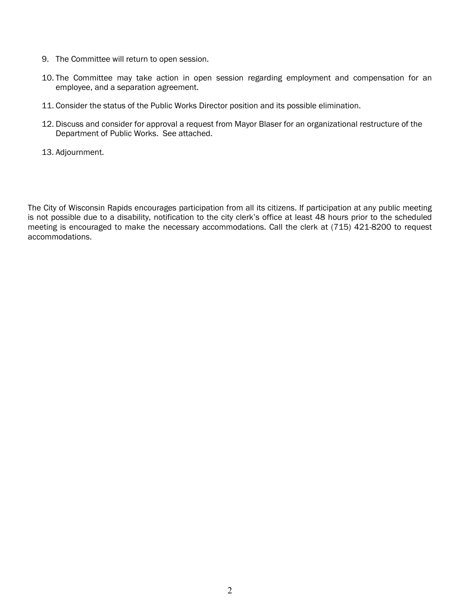- 9. The Committee will return to open session.
- 10. The Committee may take action in open session regarding employment and compensation for an employee, and a separation agreement.
- 11. Consider the status of the Public Works Director position and its possible elimination.
- 12. Discuss and consider for approval a request from Mayor Blaser for an organizational restructure of the Department of Public Works. See attached.
- 13. Adjournment.

The City of Wisconsin Rapids encourages participation from all its citizens. If participation at any public meeting is not possible due to a disability, notification to the city clerk's office at least 48 hours prior to the scheduled meeting is encouraged to make the necessary accommodations. Call the clerk at (715) 421-8200 to request accommodations.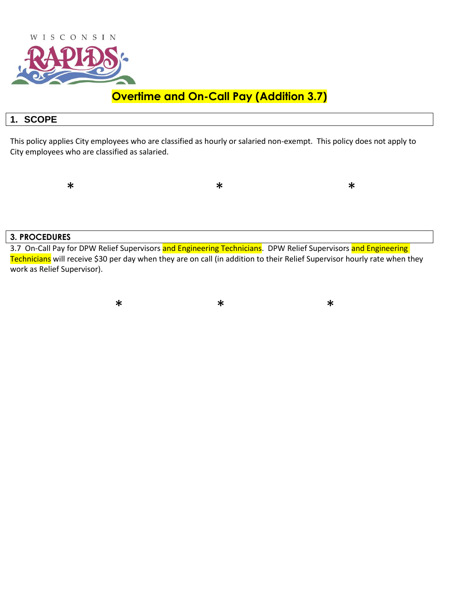

# **Overtime and On-Call Pay (Addition 3.7)**

# **1. SCOPE**

This policy applies City employees who are classified as hourly or salaried non-exempt. This policy does not apply to City employees who are classified as salaried.

 $*$  \* \* \* \*

### **3. PROCEDURES**

3.7 On-Call Pay for DPW Relief Supervisors and Engineering Technicians. DPW Relief Supervisors and Engineering Technicians will receive \$30 per day when they are on call (in addition to their Relief Supervisor hourly rate when they work as Relief Supervisor).

 $*$  \* \* \* \*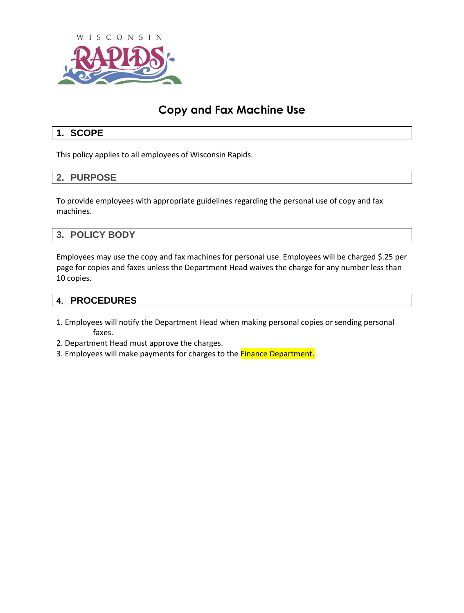

# **Copy and Fax Machine Use**

# **1. SCOPE**

This policy applies to all employees of Wisconsin Rapids.

## **2. PURPOSE**

To provide employees with appropriate guidelines regarding the personal use of copy and fax machines.

## **3. POLICY BODY**

Employees may use the copy and fax machines for personal use. Employees will be charged \$.25 per page for copies and faxes unless the Department Head waives the charge for any number less than 10 copies.

### **4. PROCEDURES**

- 1. Employees will notify the Department Head when making personal copies or sending personal faxes.
- 2. Department Head must approve the charges.
- 3. Employees will make payments for charges to the **Finance Department.**